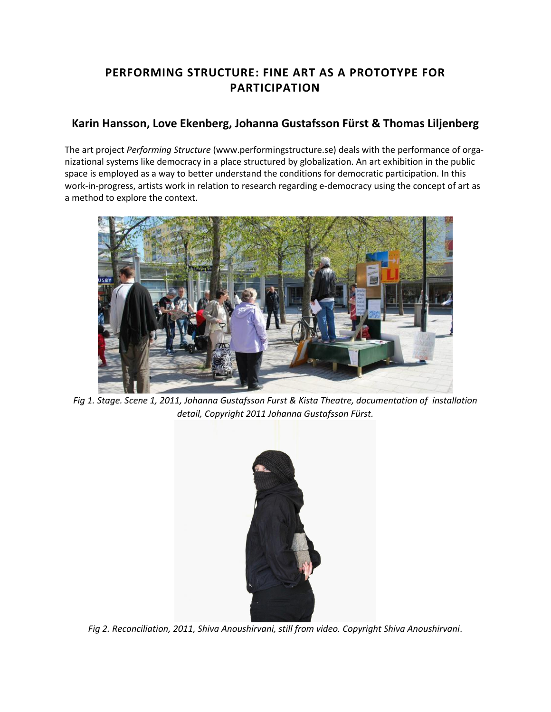# **PERFORMING STRUCTURE: FINE ART AS A PROTOTYPE FOR PARTICIPATION**

## **[Karin Hansson,](http://isea2011.sabanciuniv.edu/-185.html) [Love Ekenberg,](http://isea2011.sabanciuniv.edu/-707.html) [Johanna Gustafsson Fürst](http://isea2011.sabanciuniv.edu/-718.html) & [Thomas Liljenberg](http://isea2011.sabanciuniv.edu/-711.html)**

The art project *Performing Structure* (www.performingstructure.se) deals with the performance of organizational systems like democracy in a place structured by globalization. An art exhibition in the public space is employed as a way to better understand the conditions for democratic participation. In this work-in-progress, artists work in relation to research regarding e-democracy using the concept of art as a method to explore the context.



*Fig 1. Stage. Scene 1, 2011, Johanna Gustafsson Furst & Kista Theatre, documentation of installation detail, Copyright 2011 Johanna Gustafsson Fürst.*



*Fig 2. Reconciliation, 2011, Shiva Anoushirvani, still from video. Copyright Shiva Anoushirvani*.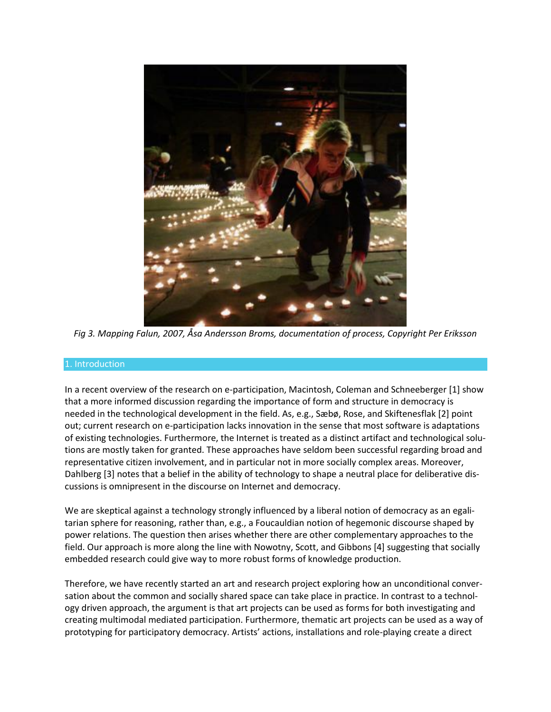

*Fig 3. Mapping Falun, 2007, Åsa Andersson Broms, documentation of process, Copyright Per Eriksson*

#### 1. Introduction

In a recent overview of the research on e-participation, Macintosh, Coleman and Schneeberger [1] show that a more informed discussion regarding the importance of form and structure in democracy is needed in the technological development in the field. As, e.g., Sæbø, Rose, and Skiftenesflak [2] point out; current research on e-participation lacks innovation in the sense that most software is adaptations of existing technologies. Furthermore, the Internet is treated as a distinct artifact and technological solutions are mostly taken for granted. These approaches have seldom been successful regarding broad and representative citizen involvement, and in particular not in more socially complex areas. Moreover, Dahlberg [3] notes that a belief in the ability of technology to shape a neutral place for deliberative discussions is omnipresent in the discourse on Internet and democracy.

We are skeptical against a technology strongly influenced by a liberal notion of democracy as an egalitarian sphere for reasoning, rather than, e.g., a Foucauldian notion of hegemonic discourse shaped by power relations. The question then arises whether there are other complementary approaches to the field. Our approach is more along the line with Nowotny, Scott, and Gibbons [4] suggesting that socially embedded research could give way to more robust forms of knowledge production.

Therefore, we have recently started an art and research project exploring how an unconditional conversation about the common and socially shared space can take place in practice. In contrast to a technology driven approach, the argument is that art projects can be used as forms for both investigating and creating multimodal mediated participation. Furthermore, thematic art projects can be used as a way of prototyping for participatory democracy. Artists' actions, installations and role-playing create a direct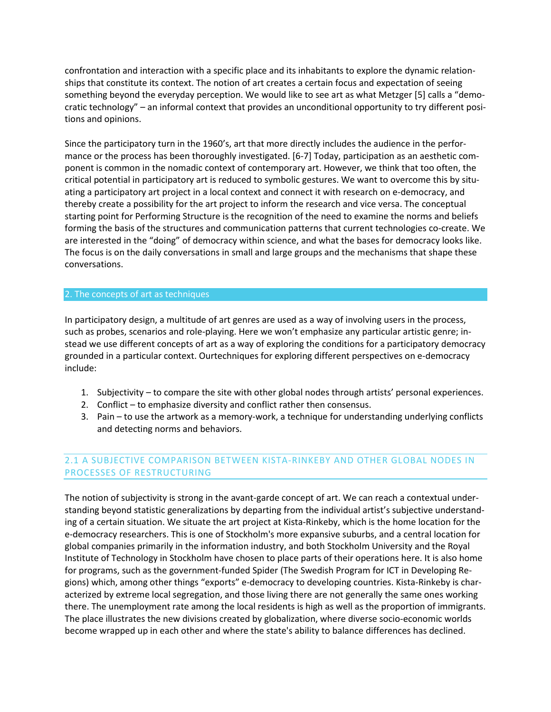confrontation and interaction with a specific place and its inhabitants to explore the dynamic relationships that constitute its context. The notion of art creates a certain focus and expectation of seeing something beyond the everyday perception. We would like to see art as what Metzger [5] calls a "democratic technology" – an informal context that provides an unconditional opportunity to try different positions and opinions.

Since the participatory turn in the 1960's, art that more directly includes the audience in the performance or the process has been thoroughly investigated. [6-7] Today, participation as an aesthetic component is common in the nomadic context of contemporary art. However, we think that too often, the critical potential in participatory art is reduced to symbolic gestures. We want to overcome this by situating a participatory art project in a local context and connect it with research on e-democracy, and thereby create a possibility for the art project to inform the research and vice versa. The conceptual starting point for Performing Structure is the recognition of the need to examine the norms and beliefs forming the basis of the structures and communication patterns that current technologies co-create. We are interested in the "doing" of democracy within science, and what the bases for democracy looks like. The focus is on the daily conversations in small and large groups and the mechanisms that shape these conversations.

#### 2. The concepts of art as techniques

In participatory design, a multitude of art genres are used as a way of involving users in the process, such as probes, scenarios and role-playing. Here we won't emphasize any particular artistic genre; instead we use different concepts of art as a way of exploring the conditions for a participatory democracy grounded in a particular context. Ourtechniques for exploring different perspectives on e-democracy include:

- 1. Subjectivity to compare the site with other global nodes through artists' personal experiences.
- 2. Conflict to emphasize diversity and conflict rather then consensus.
- 3. Pain to use the artwork as a memory-work, a technique for understanding underlying conflicts and detecting norms and behaviors.

## 2.1 A SUBJECTIVE COMPARISON BETWEEN KISTA-RINKEBY AND OTHER GLOBAL NODES IN PROCESSES OF RESTRUCTURING

The notion of subjectivity is strong in the avant-garde concept of art. We can reach a contextual understanding beyond statistic generalizations by departing from the individual artist's subjective understanding of a certain situation. We situate the art project at Kista-Rinkeby, which is the home location for the e-democracy researchers. This is one of Stockholm's more expansive suburbs, and a central location for global companies primarily in the information industry, and both Stockholm University and the Royal Institute of Technology in Stockholm have chosen to place parts of their operations here. It is also home for programs, such as the government‐funded Spider (The Swedish Program for ICT in Developing Regions) which, among other things "exports" e‐democracy to developing countries. Kista-Rinkeby is characterized by extreme local segregation, and those living there are not generally the same ones working there. The unemployment rate among the local residents is high as well as the proportion of immigrants. The place illustrates the new divisions created by globalization, where diverse socio-economic worlds become wrapped up in each other and where the state's ability to balance differences has declined.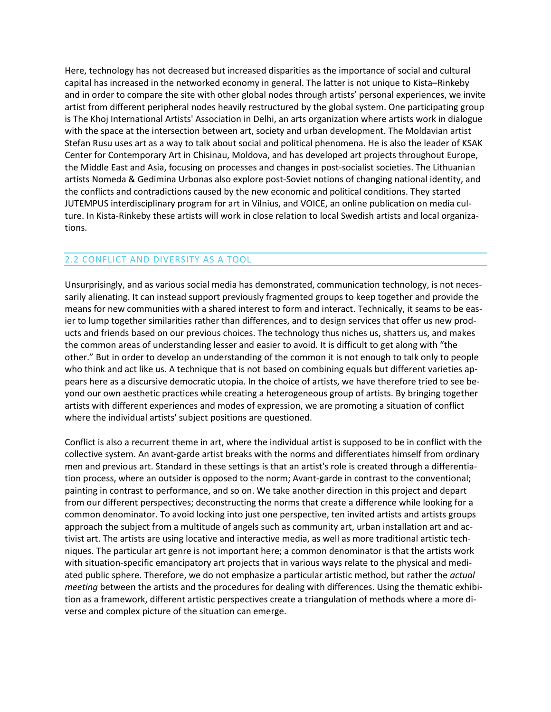Here, technology has not decreased but increased disparities as the importance of social and cultural capital has increased in the networked economy in general. The latter is not unique to Kista–Rinkeby and in order to compare the site with other global nodes through artists' personal experiences, we invite artist from different peripheral nodes heavily restructured by the global system. One participating group is The Khoj International Artists' Association in Delhi, an arts organization where artists work in dialogue with the space at the intersection between art, society and urban development. The Moldavian artist Stefan Rusu uses art as a way to talk about social and political phenomena. He is also the leader of KSAK Center for Contemporary Art in Chisinau, Moldova, and has developed art projects throughout Europe, the Middle East and Asia, focusing on processes and changes in post-socialist societies. The Lithuanian artists Nomeda & Gedimina Urbonas also explore post-Soviet notions of changing national identity, and the conflicts and contradictions caused by the new economic and political conditions. They started JUTEMPUS interdisciplinary program for art in Vilnius, and VOICE, an online publication on media culture. In Kista-Rinkeby these artists will work in close relation to local Swedish artists and local organizations.

## 2.2 CONFLICT AND DIVERSITY AS A TOOL

Unsurprisingly, and as various social media has demonstrated, communication technology, is not necessarily alienating. It can instead support previously fragmented groups to keep together and provide the means for new communities with a shared interest to form and interact. Technically, it seams to be easier to lump together similarities rather than differences, and to design services that offer us new products and friends based on our previous choices. The technology thus niches us, shatters us, and makes the common areas of understanding lesser and easier to avoid. It is difficult to get along with "the other." But in order to develop an understanding of the common it is not enough to talk only to people who think and act like us. A technique that is not based on combining equals but different varieties appears here as a discursive democratic utopia. In the choice of artists, we have therefore tried to see beyond our own aesthetic practices while creating a heterogeneous group of artists. By bringing together artists with different experiences and modes of expression, we are promoting a situation of conflict where the individual artists' subject positions are questioned.

Conflict is also a recurrent theme in art, where the individual artist is supposed to be in conflict with the collective system. An avant-garde artist breaks with the norms and differentiates himself from ordinary men and previous art. Standard in these settings is that an artist's role is created through a differentiation process, where an outsider is opposed to the norm; Avant-garde in contrast to the conventional; painting in contrast to performance, and so on. We take another direction in this project and depart from our different perspectives; deconstructing the norms that create a difference while looking for a common denominator. To avoid locking into just one perspective, ten invited artists and artists groups approach the subject from a multitude of angels such as community art, urban installation art and activist art. The artists are using locative and interactive media, as well as more traditional artistic techniques. The particular art genre is not important here; a common denominator is that the artists work with situation-specific emancipatory art projects that in various ways relate to the physical and mediated public sphere. Therefore, we do not emphasize a particular artistic method, but rather the *actual meeting* between the artists and the procedures for dealing with differences. Using the thematic exhibition as a framework, different artistic perspectives create a triangulation of methods where a more diverse and complex picture of the situation can emerge.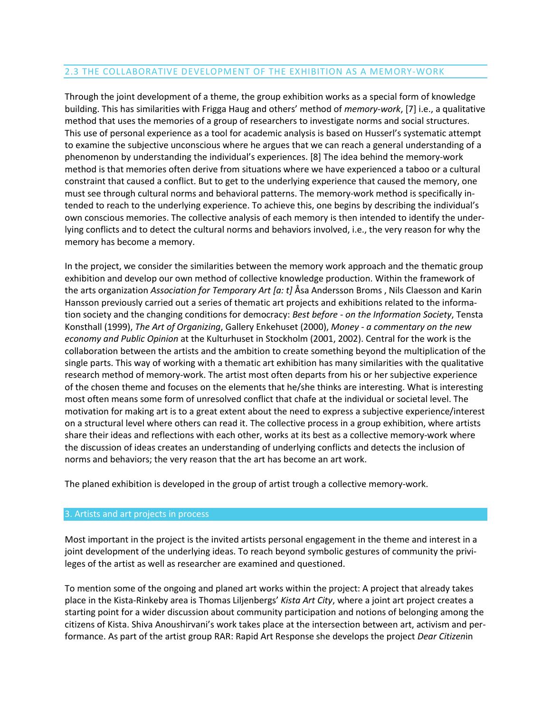## 2.3 THE COLLABORATIVE DEVELOPMENT OF THE EXHIBITION AS A MEMORY-WORK

Through the joint development of a theme, the group exhibition works as a special form of knowledge building. This has similarities with Frigga Haug and others' method of *memory-work*, [7] i.e., a qualitative method that uses the memories of a group of researchers to investigate norms and social structures. This use of personal experience as a tool for academic analysis is based on Husserl's systematic attempt to examine the subjective unconscious where he argues that we can reach a general understanding of a phenomenon by understanding the individual's experiences. [8] The idea behind the memory-work method is that memories often derive from situations where we have experienced a taboo or a cultural constraint that caused a conflict. But to get to the underlying experience that caused the memory, one must see through cultural norms and behavioral patterns. The memory-work method is specifically intended to reach to the underlying experience. To achieve this, one begins by describing the individual's own conscious memories. The collective analysis of each memory is then intended to identify the underlying conflicts and to detect the cultural norms and behaviors involved, i.e., the very reason for why the memory has become a memory.

In the project, we consider the similarities between the memory work approach and the thematic group exhibition and develop our own method of collective knowledge production. Within the framework of the arts organization *Association for Temporary Art [a: t]* Åsa Andersson Broms , Nils Claesson and Karin Hansson previously carried out a series of thematic art projects and exhibitions related to the information society and the changing conditions for democracy: *Best before - on the Information Society*, Tensta Konsthall (1999), *The Art of Organizing*, Gallery Enkehuset (2000), *Money - a commentary on the new economy and Public Opinion* at the Kulturhuset in Stockholm (2001, 2002). Central for the work is the collaboration between the artists and the ambition to create something beyond the multiplication of the single parts. This way of working with a thematic art exhibition has many similarities with the qualitative research method of memory-work. The artist most often departs from his or her subjective experience of the chosen theme and focuses on the elements that he/she thinks are interesting. What is interesting most often means some form of unresolved conflict that chafe at the individual or societal level. The motivation for making art is to a great extent about the need to express a subjective experience/interest on a structural level where others can read it. The collective process in a group exhibition, where artists share their ideas and reflections with each other, works at its best as a collective memory-work where the discussion of ideas creates an understanding of underlying conflicts and detects the inclusion of norms and behaviors; the very reason that the art has become an art work.

The planed exhibition is developed in the group of artist trough a collective memory-work.

#### 3. Artists and art projects in process

Most important in the project is the invited artists personal engagement in the theme and interest in a joint development of the underlying ideas. To reach beyond symbolic gestures of community the privileges of the artist as well as researcher are examined and questioned.

To mention some of the ongoing and planed art works within the project: A project that already takes place in the Kista-Rinkeby area is Thomas Liljenbergs' *Kista Art City*, where a joint art project creates a starting point for a wider discussion about community participation and notions of belonging among the citizens of Kista. Shiva Anoushirvani's work takes place at the intersection between art, activism and performance. As part of the artist group RAR: Rapid Art Response she develops the project *Dear Citizen*in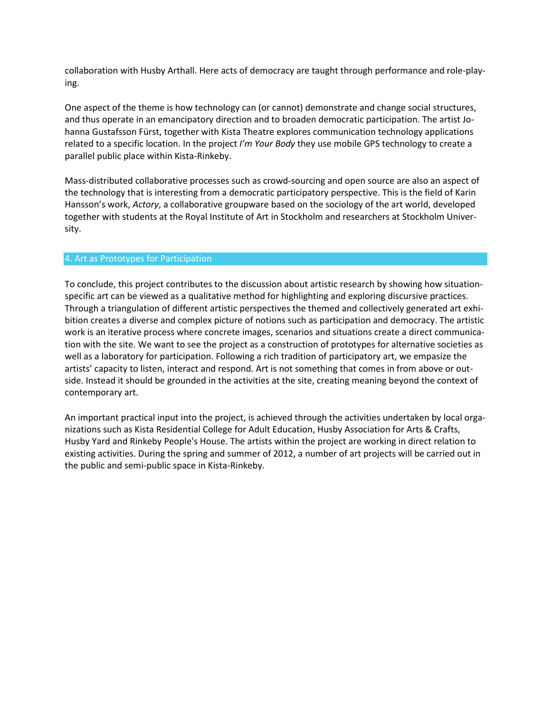collaboration with Husby Arthall. Here acts of democracy are taught through performance and role-playing.

One aspect of the theme is how technology can (or cannot) demonstrate and change social structures, and thus operate in an emancipatory direction and to broaden democratic participation. The artist Johanna Gustafsson Fürst, together with Kista Theatre explores communication technology applications related to a specific location. In the project *I'm Your Body* they use mobile GPS technology to create a parallel public place within Kista-Rinkeby.

Mass-distributed collaborative processes such as crowd-sourcing and open source are also an aspect of the technology that is interesting from a democratic participatory perspective. This is the field of Karin Hansson's work, *Actory*, a collaborative groupware based on the sociology of the art world, developed together with students at the Royal Institute of Art in Stockholm and researchers at Stockholm University.

#### 4. Art as Prototypes for Participation

To conclude, this project contributes to the discussion about artistic research by showing how situationspecific art can be viewed as a qualitative method for highlighting and exploring discursive practices. Through a triangulation of different artistic perspectives the themed and collectively generated art exhibition creates a diverse and complex picture of notions such as participation and democracy. The artistic work is an iterative process where concrete images, scenarios and situations create a direct communication with the site. We want to see the project as a construction of prototypes for alternative societies as well as a laboratory for participation. Following a rich tradition of participatory art, we empasize the artists' capacity to listen, interact and respond. Art is not something that comes in from above or outside. Instead it should be grounded in the activities at the site, creating meaning beyond the context of contemporary art.

An important practical input into the project, is achieved through the activities undertaken by local organizations such as Kista Residential College for Adult Education, Husby Association for Arts & Crafts, Husby Yard and Rinkeby People's House. The artists within the project are working in direct relation to existing activities. During the spring and summer of 2012, a number of art projects will be carried out in the public and semi-public space in Kista-Rinkeby.